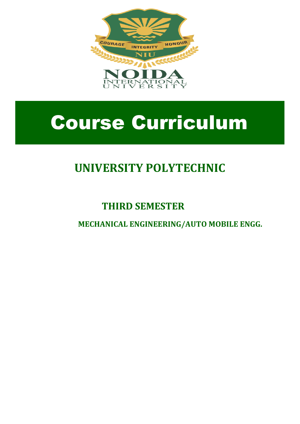

# Course Curriculum

# **UNIVERSITY POLYTECHNIC**

# **THIRD SEMESTER**

**MECHANICAL ENGINEERING/AUTO MOBILE ENGG.**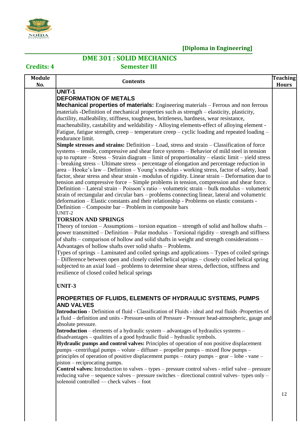

### **DME 301 : SOLID MECHANICS**

**Credits: 4 Semester III**

| <b>Module</b><br>No. | <b>Contents</b>                                                                                                                                                                               | <b>Teaching</b><br><b>Hours</b> |
|----------------------|-----------------------------------------------------------------------------------------------------------------------------------------------------------------------------------------------|---------------------------------|
|                      | <b>UNIT-1</b>                                                                                                                                                                                 |                                 |
|                      | <b>DEFORMATION OF METALS</b>                                                                                                                                                                  |                                 |
|                      | <b>Mechanical properties of materials:</b> Engineering materials – Ferrous and non ferrous                                                                                                    |                                 |
|                      | materials -Definition of mechanical properties such as strength – elasticity, plasticity,                                                                                                     |                                 |
|                      | ductility, malleability, stiffness, toughness, brittleness, hardness, wear resistance,                                                                                                        |                                 |
|                      | machenability, castability and weldability - Alloying elements-effect of alloying element -                                                                                                   |                                 |
|                      | Fatigue, fatigue strength, creep – temperature creep – cyclic loading and repeated loading –                                                                                                  |                                 |
|                      | endurance limit.                                                                                                                                                                              |                                 |
|                      | <b>Simple stresses and strains:</b> Definition – Load, stress and strain – Classification of force                                                                                            |                                 |
|                      | systems – tensile, compressive and shear force systems – Behavior of mild steel in tension                                                                                                    |                                 |
|                      | up to rupture – Stress – Strain diagram – limit of proportionality – elastic limit – yield stress                                                                                             |                                 |
|                      | - breaking stress - Ultimate stress - percentage of elongation and percentage reduction in                                                                                                    |                                 |
|                      | area – Hooke's law – Definition – Young's modulus - working stress, factor of safety, load<br>factor, shear stress and shear strain - modulus of rigidity. Linear strain - Deformation due to |                                 |
|                      | tension and compressive force - Simple problems in tension, compression and shear force.                                                                                                      |                                 |
|                      | Definition – Lateral strain – Poisson's ratio – volumetric strain – bulk modulus – volumetric                                                                                                 |                                 |
|                      | strain of rectangular and circular bars - problems connecting linear, lateral and volumetric                                                                                                  |                                 |
|                      | deformation - Elastic constants and their relationship - Problems on elastic constants -                                                                                                      |                                 |
|                      | Definition – Composite bar – Problem in composite bars                                                                                                                                        |                                 |
|                      | UNIT-2                                                                                                                                                                                        |                                 |
|                      | <b>TORSION AND SPRINGS</b>                                                                                                                                                                    |                                 |
|                      | Theory of torsion $-$ Assumptions $-$ torsion equation $-$ strength of solid and hollow shafts $-$                                                                                            |                                 |
|                      | power transmitted – Definition – Polar modulus – Torsional rigidity – strength and stiffness                                                                                                  |                                 |
|                      | of shafts – comparison of hollow and solid shafts in weight and strength considerations –                                                                                                     |                                 |
|                      | Advantages of hollow shafts over solid shafts - Problems.                                                                                                                                     |                                 |
|                      | Types of springs – Laminated and coiled springs and applications – Types of coiled springs<br>- Difference between open and closely coiled helical springs - closely coiled helical spring    |                                 |
|                      | subjected to an axial load – problems to determine shear stress, deflection, stiffness and                                                                                                    |                                 |
|                      | resilience of closed coiled helical springs                                                                                                                                                   |                                 |
|                      |                                                                                                                                                                                               |                                 |
|                      | <b>UNIT-3</b>                                                                                                                                                                                 |                                 |
|                      | PROPERTIES OF FLUIDS, ELEMENTS OF HYDRAULIC SYSTEMS, PUMPS                                                                                                                                    |                                 |
|                      | <b>AND VALVES</b>                                                                                                                                                                             |                                 |
|                      | Introduction - Definition of fluid - Classification of Fluids - ideal and real fluids -Properties of                                                                                          |                                 |
|                      | a fluid – definition and units - Pressure-units of Pressure - Pressure head-atmospheric, gauge and                                                                                            |                                 |
|                      | absolute pressure.                                                                                                                                                                            |                                 |
|                      | <b>Introduction</b> – elements of a hydraulic system – advantages of hydraulics systems –<br>disadvantages – qualities of a good hydraulic fluid – hydraulic symbols.                         |                                 |
|                      | Hydraulic pumps and control valves: Principles of operation of non positive displacement                                                                                                      |                                 |
|                      | pumps -centrifugal pumps - volute - diffuser - propeller pumps - mixed flow pumps -                                                                                                           |                                 |
|                      | principles of operation of positive displacement pumps – rotary pumps – gear – lobe - vane –                                                                                                  |                                 |
|                      | piston – reciprocating pumps.                                                                                                                                                                 |                                 |
|                      | <b>Control valves:</b> Introduction to valves – types – pressure control valves - relief valve – pressure                                                                                     |                                 |
|                      | reducing valve – sequence valves – pressure switches – directional control valves– types only –                                                                                               |                                 |
|                      | solenoid controlled — check valves - foot                                                                                                                                                     |                                 |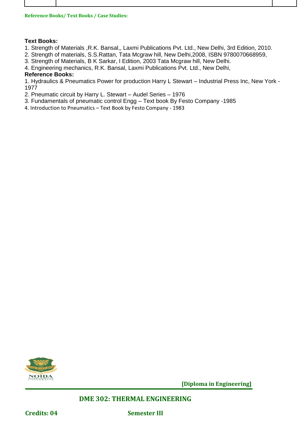| <b>Reference Books/ Text Books / Case Studies:</b> |  |
|----------------------------------------------------|--|
|                                                    |  |

#### **Text Books:**

- 1. Strength of Materials ,R.K. Bansal,, Laxmi Publications Pvt. Ltd., New Delhi, 3rd Edition, 2010.
- 2. Strength of materials, S.S.Rattan, Tata Mcgraw hill, New Delhi,2008, ISBN 9780070668959,
- 3. Strength of Materials, B K Sarkar, I Edition, 2003 Tata Mcgraw hill, New Delhi.
- 4. Engineering mechanics, R.K. Bansal, Laxmi Publications Pvt. Ltd., New Delhi,

#### **Reference Books:**

1. Hydraulics & Pneumatics Power for production Harry L Stewart – Industrial Press Inc, New York - 1977

- 2. Pneumatic circuit by Harry L. Stewart Audel Series 1976
- 3. Fundamentals of pneumatic control Engg Text book By Festo Company -1985
- 4. Introduction to Pneumatics Text Book by Festo Company 1983



**[Diploma in Engineering]**

#### **DME 302: THERMAL ENGINEERING**

**Credits: 04 Semester III**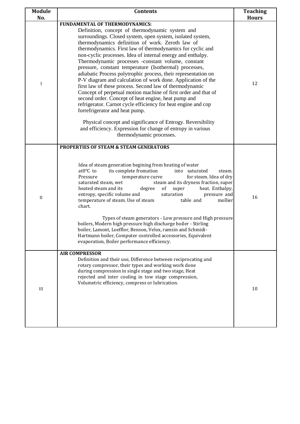| <b>Module</b><br>No. | <b>Contents</b>                                                                                                                                                                                                                                                                                                                                                                                                                                                                                                                                                                                                                                                                                                                                                                                                                                                                                                                                                                                   | <b>Teaching</b><br><b>Hours</b> |
|----------------------|---------------------------------------------------------------------------------------------------------------------------------------------------------------------------------------------------------------------------------------------------------------------------------------------------------------------------------------------------------------------------------------------------------------------------------------------------------------------------------------------------------------------------------------------------------------------------------------------------------------------------------------------------------------------------------------------------------------------------------------------------------------------------------------------------------------------------------------------------------------------------------------------------------------------------------------------------------------------------------------------------|---------------------------------|
|                      | FUNDAMENTAL OF THERMODYNAMICS:                                                                                                                                                                                                                                                                                                                                                                                                                                                                                                                                                                                                                                                                                                                                                                                                                                                                                                                                                                    |                                 |
| I                    | Definition, concept of thermodynamic system and<br>surroundings. Closed system, open system, isolated system,<br>thermodynamics definition of work. Zeroth law of<br>thermodynamics. First law of thermodynamics for cyclic and<br>non-cyclic processes. Idea of internal energy and enthalpy.<br>Thermodynamic processes -constant volume, constant<br>pressure, constant temperature (Isothermal) processes,<br>adiabatic Process polytrophic process, their representation on<br>P-V diagram and calculation of work done. Application of the<br>first law of these process. Second law of thermodynamic<br>Concept of perpetual motion machine of first order and that of<br>second order. Concept of heat engine, heat pump and<br>refrigerator. Carnot cycle efficiency for heat engine and cop<br>forrefrigerator and heat pump.<br>Physical concept and significance of Entrogy. Reversibility<br>and efficiency. Expression for change of entropy in various<br>thermodynamic processes. | 12                              |
| $\mathbf{I}$         | <b>PROPERTIES OF STEAM &amp; STEAM GENERATORS</b><br>Idea of steam generation begining from heating of water<br>at0°C to<br>its complete fromation<br>into saturated<br>steam.<br>Pressure<br>for steam. Idea of dry<br>temperature curve<br>saturated steam, wet<br>steam and its dryness fraction, super<br>heated steam and its<br>degree<br>of<br>heat. Enthalpy,<br>super<br>entropy, specific volume and<br>saturation<br>pressure and<br>temperature of steam. Use of steam<br>table and<br>mollier<br>chart.<br>Types of steam generators - Low pressure and High pressure<br>boilers, Modern high pressure high discharge boiler - Stirling<br>boiler, Lamont, Loefflor, Benson, Velox, ramsin and Schmidi-<br>Hartmann boiler, Computer controlled accessories, Equivalent<br>evaporation, Boiler performance efficiency.                                                                                                                                                               | 16                              |
| III                  | <b>AIR COMPRESSOR</b><br>Definition and their use, Difference between reciprocating and<br>rotary compressor, their types and working work done<br>during compression in single stage and two stage, Heat<br>rejected and inter cooling in tow stage compression,<br>Volumetric efficiency, compress or lubrication.                                                                                                                                                                                                                                                                                                                                                                                                                                                                                                                                                                                                                                                                              | 10                              |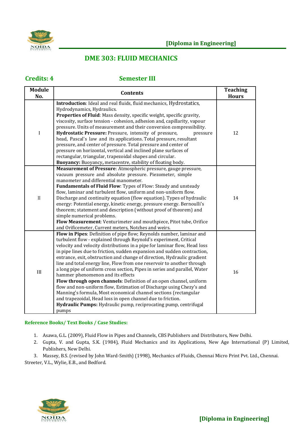

#### **DME 303: FLUID MECHANICS**

#### **Credits: 4 Semester III**

| <b>Module</b><br>No. | <b>Contents</b>                                                                                                                                                                                                                                                                                                                                                                                                                                                                                                                                                                                                                                                                                                                                                                                                                                                                                                                        | <b>Teaching</b><br><b>Hours</b> |
|----------------------|----------------------------------------------------------------------------------------------------------------------------------------------------------------------------------------------------------------------------------------------------------------------------------------------------------------------------------------------------------------------------------------------------------------------------------------------------------------------------------------------------------------------------------------------------------------------------------------------------------------------------------------------------------------------------------------------------------------------------------------------------------------------------------------------------------------------------------------------------------------------------------------------------------------------------------------|---------------------------------|
| $\mathbf I$          | Introduction: Ideal and real fluids, fluid mechanics, Hydrostatics,<br>Hydrodynamics, Hydraulics.<br>Properties of Fluid: Mass density, specific weight, specific gravity,<br>viscosity, surface tension - cohesion, adhesion and, capillarity, vapour<br>pressure. Units of measurement and their conversion compressibility.<br>Hydrostatic Pressure: Pressure, intensity of pressure,<br>pressure<br>head, Pascal's law and its applications. Total pressure, resultant<br>pressure, and center of pressure. Total pressure and center of<br>pressure on horizontal, vertical and inclined plane surfaces of<br>rectangular, triangular, trapezoidal shapes and circular.<br>Buoyancy: Buoyancy, metacentre, stability of floating body.                                                                                                                                                                                            | 12                              |
| $\mathbf{I}$         | Measurement of Pressure: Atmospheric pressure, gauge pressure,<br>vacuum pressure and absolute pressure. Piezometer, simple<br>manometer and differential manometer.<br>Fundamentals of Fluid Flow: Types of Flow: Steady and unsteady<br>flow, laminar and turbulent flow, uniform and non-uniform flow.<br>Discharge and continuity equation (flow equation). Types of hydraulic<br>energy: Potential energy, kinetic energy, pressure energy. Bernoulli's<br>theorem; statement and description (without proof of theorem) and<br>simple numerical problems.<br>Flow Measurement: Venturimeter and mouthpiece, Pitot tube, Orifice<br>and Orificemeter, Current meters, Notches and weirs.                                                                                                                                                                                                                                          | 14                              |
| III                  | Flow in Pipes: Definition of pipe flow; Reynolds number, laminar and<br>turbulent flow - explained through Reynold's experiment, Critical<br>velocity and velocity distributions in a pipe for laminar flow, Head loss<br>in pipe lines due to friction, sudden expansion and sudden contraction,<br>entrance, exit, obstruction and change of direction, Hydraulic gradient<br>line and total energy line, Flow from one reservoir to another through<br>a long pipe of uniform cross section, Pipes in series and parallel, Water<br>hammer phenomenon and its effects<br>Flow through open channels: Definition of an open channel, uniform<br>flow and non-uniform flow, Estimation of Discharge using Chezy's and<br>Manning's formula, Most economical channel sections (rectangular<br>and trapezoidal, Head loss in open channel due to friction.<br>Hydraulic Pumps: Hydraulic pump, reciprocating pump, centrifugal<br>pumps | 16                              |

#### **Reference Books/ Text Books / Case Studies:**

- 1. Asawa, G.L. (2009), Fluid Flow in Pipes and Channels, CBS Publishers and Distributors, New Delhi.
- 2. Gupta, V. and Gupta, S.K. (1984), Fluid Mechanics and its Applications, New Age International (P) Limited, Publishers, New Delhi.

3. Massey, B.S. (revised by John Ward-Smith) (1998), Mechanics of Fluids, Chennai Micro Print Pvt. Ltd., Chennai. Streeter, V.L., Wylie, E.B., and Bedford.

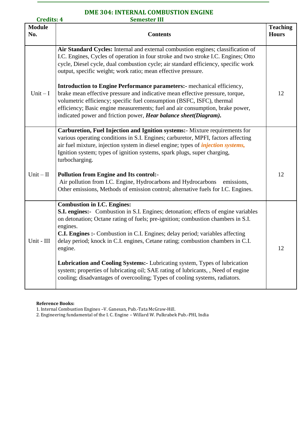# **DME 304: INTERNAL COMBUSTION ENGINE**

| <b>Credits: 4</b>    | <b>Semester III</b>                                                                                                                                                                                                                                                                                                                                                                                            |                                 |
|----------------------|----------------------------------------------------------------------------------------------------------------------------------------------------------------------------------------------------------------------------------------------------------------------------------------------------------------------------------------------------------------------------------------------------------------|---------------------------------|
| <b>Module</b><br>No. | <b>Contents</b>                                                                                                                                                                                                                                                                                                                                                                                                | <b>Teaching</b><br><b>Hours</b> |
|                      | Air Standard Cycles: Internal and external combustion engines; classification of<br>I.C. Engines, Cycles of operation in four stroke and two stroke I.C. Engines; Otto<br>cycle, Diesel cycle, dual combustion cycle; air standard efficiency, specific work<br>output, specific weight; work ratio; mean effective pressure.                                                                                  |                                 |
| $Unit - I$           | <b>Introduction to Engine Performance parameters:</b> mechanical efficiency,<br>brake mean effective pressure and indicative mean effective pressure, torque,<br>volumetric efficiency; specific fuel consumption (BSFC, ISFC), thermal<br>efficiency; Basic engine measurements; fuel and air consumption, brake power,<br>indicated power and friction power, Hear balance sheet(Diagram).                   | 12                              |
|                      | Carburetion, Fuel Injection and Ignition systems: Mixture requirements for<br>various operating conditions in S.I. Engines; carburetor, MPFI, factors affecting<br>air fuel mixture, injection system in diesel engine; types of <i>injection systems</i> ,<br>Ignition system; types of ignition systems, spark plugs, super charging,<br>turbocharging.                                                      |                                 |
| $Unit - II$          | <b>Pollution from Engine and Its control:-</b><br>Air pollution from I.C. Engine, Hydrocarbons and Hydrocarbons<br>emissions,<br>Other emissions, Methods of emission control; alternative fuels for I.C. Engines.                                                                                                                                                                                             | 12                              |
| Unit - III           | <b>Combustion in I.C. Engines:</b><br><b>S.I. engines:-</b> Combustion in S.I. Engines; detonation; effects of engine variables<br>on detonation; Octane rating of fuels; pre-ignition; combustion chambers in S.I.<br>engines.<br>C.I. Engines :- Combustion in C.I. Engines; delay period; variables affecting<br>delay period; knock in C.I. engines, Cetane rating; combustion chambers in C.I.<br>engine. | 12                              |
|                      | Lubrication and Cooling Systems: - Lubricating system, Types of lubrication<br>system; properties of lubricating oil; SAE rating of lubricants, , Need of engine<br>cooling; disadvantages of overcooling; Types of cooling systems, radiators.                                                                                                                                                                |                                 |

#### **Reference Books:**

1. Internal Combustion Engines –V. Ganesan, Pub.-Tata McGraw-Hill.

2. Engineering fundamental of the I. C. Engine – Willard W. Pulkrabek Pub.-PHI, India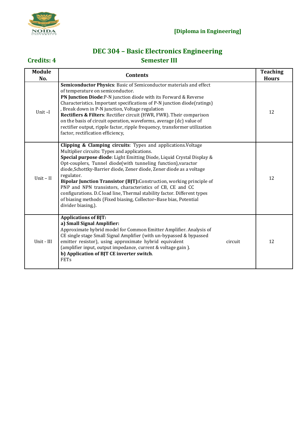

### **DEC 304 – Basic Electronics Engineering Credits: 4 Semester III**

| <b>Module</b><br>No. | <b>Contents</b>                                                                                                                                                                                                                                                                                                                                                                                                                                                                                                                                                                                                                                            | <b>Teaching</b><br><b>Hours</b> |
|----------------------|------------------------------------------------------------------------------------------------------------------------------------------------------------------------------------------------------------------------------------------------------------------------------------------------------------------------------------------------------------------------------------------------------------------------------------------------------------------------------------------------------------------------------------------------------------------------------------------------------------------------------------------------------------|---------------------------------|
| Unit-I               | Semiconductor Physics: Basic of Semiconductor materials and effect<br>of temperature on semiconductor.<br>PN Junction Diode: P-N junction diode with its Forward & Reverse<br>Characteristics. Important specifications of P-N junction diode(ratings)<br>, Break down in P-N junction, Voltage regulation<br>Rectifiers & Filters: Rectifier circuit (HWR, FWR). Their comparison<br>on the basis of circuit operation, waveforms, average (dc) value of<br>rectifier output, ripple factor, ripple frequency, transformer utilization<br>factor, rectification efficiency,                                                                               | 12                              |
| Unit $-$ II          | Clipping & Clamping circuits: Types and applications. Voltage<br>Multiplier circuits: Types and applications.<br>Special purpose diode: Light Emitting Diode, Liquid Crystal Display &<br>Opt-couplers, Tunnel diode(with tunneling function), varactor<br>diode, Schottky-Barrier diode, Zener diode, Zener diode as a voltage<br>regulator.<br>Bipolar Junction Transistor (BJT): Construction, working principle of<br>PNP and NPN transistors, characteristics of CB, CE and CC<br>configurations. D.C load line, Thermal stability factor. Different types<br>of biasing methods (Fixed biasing, Collector-Base bias, Potential<br>divider biasing,). | 12                              |
| Unit - III           | <b>Applications of BJT:</b><br>a) Small Signal Amplifier:<br>Approximate hybrid model for Common Emitter Amplifier. Analysis of<br>CE single stage Small Signal Amplifier (with un-bypassed & bypassed<br>emitter resistor), using approximate hybrid equivalent<br>circuit<br>(amplifier input, output impedance, current & voltage gain).<br>b) Application of BJT CE inverter switch.<br><b>FETs</b>                                                                                                                                                                                                                                                    | 12                              |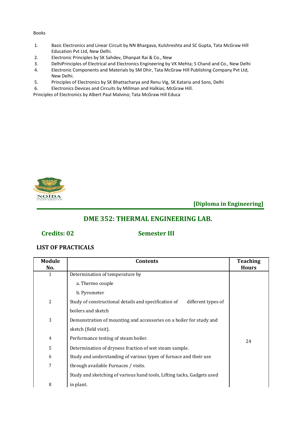#### Books

- 1. Basic Electronics and Linear Circuit by NN Bhargava, Kulshreshta and SC Gupta, Tata McGraw Hill Education Pvt Ltd, New Delhi.
- 2. Electronic Principles by SK Sahdev, Dhanpat Rai & Co., New
- 3. DelhiPrinciples of Electrical and Electronics Engineering by VK Mehta; S Chand and Co., New Delhi
- 4. Electronic Components and Materials by SM Dhir, Tata McGraw Hill Publishing Company Pvt Ltd, New Delhi.
- 5. Principles of Electronics by SK Bhattacharya and Renu Vig, SK Kataria and Sons, Delhi
- 6. Electronics Devices and Circuits by Millman and Halkias; McGraw Hill.

Principles of Electronics by Albert Paul Malvino; Tata McGraw Hill Educa



**[Diploma in Engineering]**

#### **DME 352: THERMAL ENGINEERING LAB.**

#### **Credits: 02 Semester III**

#### **LIST OF PRACTICALS**

| <b>Module</b><br>No. | <b>Contents</b>                                                            | <b>Teaching</b><br><b>Hours</b> |
|----------------------|----------------------------------------------------------------------------|---------------------------------|
| 1                    | Determination of temperature by                                            |                                 |
|                      | a. Thermo couple                                                           |                                 |
|                      | b. Pyrometer                                                               |                                 |
| 2                    | Study of constructional details and specification of<br>different types of |                                 |
|                      | boilers and sketch                                                         |                                 |
| 3                    | Demonstration of mounting and accessories on a boiler for study and        |                                 |
|                      | sketch (field visit).                                                      |                                 |
| 4                    | Performance testing of steam boiler.                                       | 24                              |
| 5                    | Determination of dryness fraction of wet steam sample.                     |                                 |
| 6                    | Study and understanding of various types of furnace and their use          |                                 |
| 7                    | through available Furnaces / visits.                                       |                                 |
|                      | Study and sketching of various hand tools, Lifting tacks, Gadgets used     |                                 |
| 8                    | in plant.                                                                  |                                 |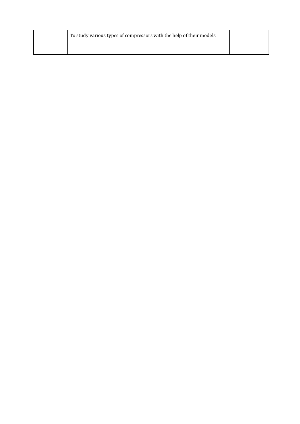To study various types of compressors with the help of their models.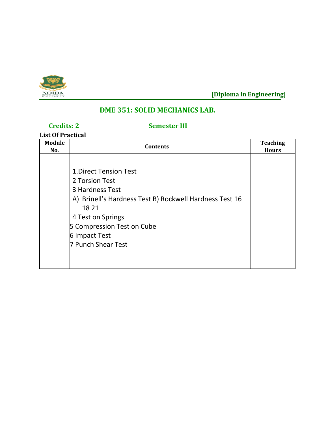

### **DME 351: SOLID MECHANICS LAB.**

### **Credits: 2 Semester III**

**List Of Practical**

| <b>Module</b><br>No. | <b>Contents</b>                                                                                                                                                                                                                 | <b>Teaching</b><br><b>Hours</b> |
|----------------------|---------------------------------------------------------------------------------------------------------------------------------------------------------------------------------------------------------------------------------|---------------------------------|
|                      | <b>1.Direct Tension Test</b><br>2 Torsion Test<br>3 Hardness Test<br>A) Brinell's Hardness Test B) Rockwell Hardness Test 16<br>18 21<br>4 Test on Springs<br>5 Compression Test on Cube<br>6 Impact Test<br>7 Punch Shear Test |                                 |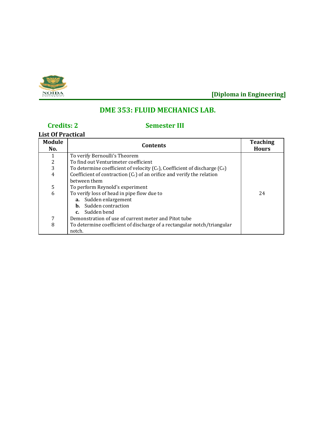

### **DME 353: FLUID MECHANICS LAB.**

### **Credits: 2 Semester III**

#### **List Of Practical**

| <b>Module</b><br>No. | <b>Contents</b>                                                                 | <b>Teaching</b><br><b>Hours</b> |
|----------------------|---------------------------------------------------------------------------------|---------------------------------|
|                      | To verify Bernoulli's Theorem                                                   |                                 |
| $\frac{2}{3}$        | To find out Venturimeter coefficient                                            |                                 |
|                      | To determine coefficient of velocity $(C_v)$ , Coefficient of discharge $(C_d)$ |                                 |
| 4                    | Coefficient of contraction $(C_c)$ of an orifice and verify the relation        |                                 |
|                      | hetween them                                                                    |                                 |
| 5                    | To perform Reynold's experiment                                                 |                                 |
| 6                    | To verify loss of head in pipe flow due to                                      | 24                              |
|                      | a. Sudden enlargement                                                           |                                 |
|                      | <b>b.</b> Sudden contraction                                                    |                                 |
|                      | c. Sudden bend                                                                  |                                 |
| 7                    | Demonstration of use of current meter and Pitot tube                            |                                 |
| 8                    | To determine coefficient of discharge of a rectangular notch/triangular         |                                 |
|                      | notch.                                                                          |                                 |